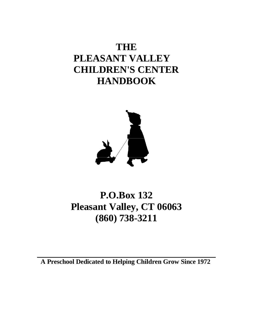# **THE PLEASANT VALLEY CHILDREN'S CENTER HANDBOOK**



# **P.O.Box 132 Pleasant Valley, CT 06063 (860) 738-3211**

**A Preschool Dedicated to Helping Children Grow Since 1972**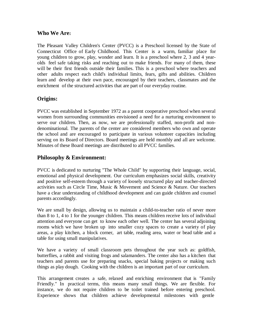## **Who We Are:**

The Pleasant Valley Children's Center (PVCC) is a Preschool licensed by the State of Connecticut Office of Early Childhood. This Center is a warm, familiar place for young children to grow, play, wonder and learn. It is a preschool where 2, 3 and 4 yearolds feel safe taking risks and reaching out to make friends. For many of them, these will be their first friends outside their families. This is a preschool where teachers and other adults respect each child's individual limits, fears, gifts and abilities. Children learn and develop at their own pace, encouraged by their teachers, classmates and the enrichment of the structured activities that are part of our everyday routine.

## **Origins:**

PVCC was established in September 1972 as a parent cooperative preschool when several women from surrounding communities envisioned a need for a nurturing environment to serve our children. Then, as now, we are professionally staffed, non-profit and nondenominational. The parents of the center are considered members who own and operate the school and are encouraged to participate in various volunteer capacities including serving on its Board of Directors. Board meetings are held monthly and all are welcome. Minutes of these Board meetings are distributed to all PVCC families.

## **Philosophy & Environment:**

PVCC is dedicated to nurturing "The Whole Child" by supporting their language, social, emotional and physical development. Our curriculum emphasizes social skills, creativity and positive self-esteem through a variety of loosely structured play and teacher-directed activities such as Circle Time, Music & Movement and Science & Nature. Our teachers have a clear understanding of childhood development and can guide children and counsel parents accordingly.

We are small by design, allowing us to maintain a child-to-teacher ratio of never more than 8 to 1, 4 to 1 for the younger children. This means children receive lots of individual attention and everyone can get to know each other well. The center has several adjoining rooms which we have broken up into smaller cozy spaces to create a variety of play areas, a play kitchen, a block corner, art table, reading area, water or bead table and a table for using small manipulatives.

We have a variety of small classroom pets throughout the year such as: goldfish, butterflies, a rabbit and visiting frogs and salamanders. The center also has a kitchen that teachers and parents use for preparing snacks, special baking projects or making such things as play dough. Cooking with the children is an important part of our curriculum.

This arrangement creates a safe, relaxed and enriching environment that is "Family Friendly." In practical terms, this means many small things. We are flexible. For instance, we do not require children to be toilet trained before entering preschool. Experience shows that children achieve developmental milestones with gentle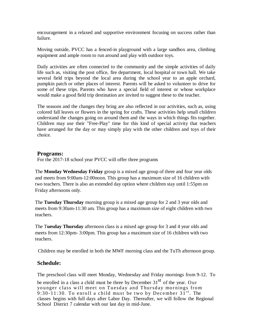encouragement in a relaxed and supportive environment focusing on success rather than failure.

Moving outside, PVCC has a fenced-in playground with a large sandbox area, climbing equipment and ample room to run around and play with outdoor toys.

Daily activities are often connected to the community and the simple activities of daily life such as, visiting the post office, fire department, local hospital or town hall. We take several field trips beyond the local area during the school year to an apple orchard, pumpkin patch or other places of interest. Parents will be asked to volunteer to drive for some of these trips. Parents who have a special field of interest or whose workplace would make a good field trip destination are invited to suggest these to the teacher.

The seasons and the changes they bring are also reflected in our activities, such as, using colored fall leaves or flowers in the spring for crafts. These activities help small children understand the changes going on around them and the ways in which things fits together. Children may use their "Free-Play" time for this kind of special activity that teachers have arranged for the day or may simply play with the other children and toys of their choice.

#### **Programs:**

For the 2017-18 school year PVCC will offer three programs

The **Monday Wednesday Friday** group is a mixed age group of three and four year olds and meets from 9:00am-12:00noon. This group has a maximum size of 16 children with two teachers. There is also an extended day option where children stay until 1:55pm on Friday afternoons only.

The **Tuesday Thursday** morning group is a mixed age group for 2 and 3 year olds and meets from 9:30am-11:30 am. This group has a maximum size of eight children with two teachers.

The T**uesday Thursday** afternoon class is a mixed age group for 3 and 4 year olds and meets from 12:30pm- 3:00pm. This group has a maximum size of 16 children with two teachers.

Children may be enrolled in both the MWF morning class and the TuTh afternoon group.

## **Schedule:**

The preschool class will meet Monday, Wednesday and Friday mornings from 9-12. To

be enrolled in a class a child must be three by December  $31<sup>st</sup>$  of the year. Our younger class will meet on Tuesday and Thursday mornings from 9:30-11:30. To enroll a child must be two by December  $31^{st}$ . The classes begins with full days after Labor Day. Thereafter, we will follow the Regional School District 7 calendar with our last day in mid-June.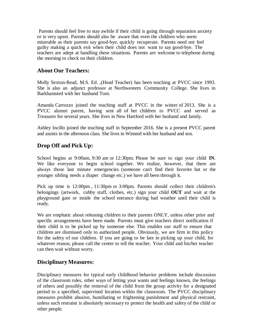Parents should feel free to stay awhile if their child is going through separation anxiety or is very upset. Parents should also be aware that even the children who seem miserable as their parents say good-bye, quickly recuperate. Parents need not feel guilty making a quick exit when their child does not want to say good-bye. The teachers are adept at handling these situations. Parents are welcome to telephone during the morning to check on their children.

### **About Our Teachers:**

Molly Sexton-Read, M.S. Ed. ,(Head Teacher) has been teaching at PVCC since 1993. She is also an adjunct professor at Northwestern Community College. She lives in Barkhamsted with her husband Tom.

Amanda Carrozzo joined the teaching staff at PVCC in the winter of 2013. She is a PVCC alumni parent, having sent all of her children to PVCC and served as Treasurer for several years. She lives in New Hartford with her husband and family.

Ashley Incillo joined the teaching staff in September 2016. She is a present PVCC parent and assists in the afternoon class. She lives in Winsted with her husband and son.

# **Drop Off and Pick Up:**

School begins at 9:00am, 9:30 am or 12:30pm. Please be sure to sign your child **IN**. We like everyone to begin school together. We realize, however, that there are always those last minute emergencies (someone can't find their favorite hat or the younger sibling needs a diaper change etc.) we have all been through it.

Pick up time is 12:00pm , 11:30pm or 3:00pm. Parents should collect their children's belongings (artwork, cubby stuff, clothes, etc.) sign your child **OUT** and wait at the playground gate or inside the school entrance during bad weather until their child is ready.

We are emphatic about releasing children to their parents ONLY, unless other prior and specific arrangements have been made. Parents must give teachers direct notification if their child is to be picked up by someone else. This enables our staff to ensure that children are dismissed only to authorized people. Obviously, we are firm in this policy for the safety of our children. If you are going to be late in picking up your child, for whatever reason, please call the center to tell the teacher. Your child and his/her teacher can then wait without worry.

## **Disciplinary Measures:**

Disciplinary measures for typical early childhood behavior problems include discussion of the classroom rules, other ways of letting your wants and feelings known, the feelings of others and possibly the removal of the child from the group activity for a designated period to a specified, supervised location within the classroom. The PVCC disciplinary measures prohibit abusive, humiliating or frightening punishment and physical restraint, unless such restraint is absolutely necessary to protect the health and safety of the child or other people.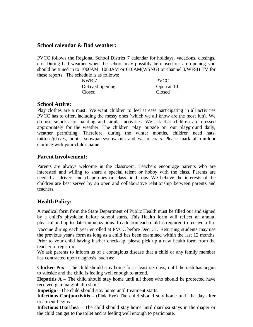#### **School calendar & Bad weather:**

PVCC follows the Regional School District 7 calendar for holidays, vacations, closings, etc. During bad weather when the school may possibly be closed or late opening you should be tuned in to 1060AM, 1080AM or 610AM(WSNG) or channel 3/WFSB TV for these reports. The schedule is as follows:

| NWR 7           | <b>PVCC</b> |
|-----------------|-------------|
| Delayed opening | Open at 10  |
| Closed          | Closed      |

#### **School Attire:**

Play clothes are a must. We want children to feel at ease participating in all activities PVCC has to offer, including the messy ones (which we all know are the most fun). We do use smocks for painting and similar activities. We ask that children are dressed appropriately for the weather. The children play outside on our playground daily, weather permitting. Therefore, during the winter months, children need hats, mittens/gloves, boots, snowpants/snowsuits and warm coats. Please mark all outdoor clothing with your child's name.

### **Parent Involvement:**

Parents are always welcome in the classroom. Teachers encourage parents who are interested and willing to share a special talent or hobby with the class. Parents are needed as drivers and chaperones on class field trips. We believe the interests of the children are best served by an open and collaborative relationship between parents and teachers.

## **Health Policy:**

A medical form from the State Department of Public Health must be filled out and signed by a child's physician before school starts. This Health form will reflect an annual physical and up to date immunizations. In addition each child is required to receive a flu

vaccine during each year enrolled at PVCC before Dec. 31. Returning students may use the previous year's form as long as a child has been examined within the last 12 months. Prior to your child having his/her check-up, please pick up a new health form from the teacher or registrar.

We ask parents to inform us of a contagious disease that a child or any family member has contracted upon diagnosis, such as:

**Chicken Pox** – The child should stay home for at least six days, until the rash has begun to subside and the child is feeling well enough to attend.

**Hepatitis A** – The child should stay home until all those who should be protected have received gamma globulin shots.

**Impetigo** – The child should stay home until treatment starts.

**Infectious Conjunctivitis –** (Pink Eye) The child should stay home until the day after treatment begins.

**Infectious Diarrhea –** The child should stay home until diarrhea stays in the diaper or the child can get to the toilet and is feeling well enough to participate.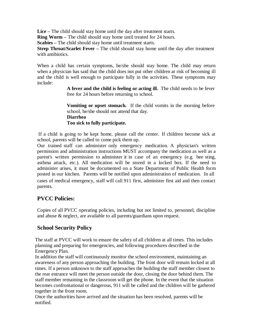**Lice –** The child should stay home until the day after treatment starts.

**Ring Worm –** The child should stay home until treated for 24 hours.

**Scabies –** The child should stay home until treatment starts.

**Strep Throat/Scarlet Fever –** The child should stay home until the day after treatment with antibiotics.

When a child has certain symptoms, he/she should stay home. The child may return when a physician has said that the child does not put other children at risk of becoming ill and the child is well enough to participate fully in the activities. These symptoms may include:

> **A fever and the child is feeling or acting ill.** The child needs to be fever free for 24 hours before returning to school.

> **Vomiting or upset stomach.** If the child vomits in the morning before school, he/she should not attend that day. **Diarrhea Too sick to fully participate.**

If a child is going to be kept home, please call the center. If children become sick at school, parents will be called to come pick them up.

Our trained staff can administer only emergency medication. A physician's written permission and administration instructions MUST accompany the medication as well as a parent's written permission to administer it in case of an emergency (e.g. bee sting, asthma attack, etc.). All medication will be stored in a locked box. If the need to administer arises, it must be documented on a State Department of Public Health form posted in our kitchen. Parents will be notified upon administration of medication. In all cases of medical emergency, staff will call 911 first, administer first aid and then contact parents.

# **PVCC Policies:**

Copies of all PVCC operating policies, including but not limited to, personnel, discipline and abuse & neglect, are available to all parents/guardians upon request.

# **School Security Policy**

The staff at PVCC will work to ensure the safety of all children at all times. This includes planning and preparing for emergencies, and following procedures described in the Emergency Plan.

In addition the staff will continuously monitor the school environment, maintaining an awareness of any person approaching the building. The front door will remain locked at all times. If a person unknown to the staff approaches the building the staff member closest to the rear entrance will meet the person outside the door, closing the door behind them. The staff member remaining in the classroom will get the phone. In the event that the situation becomes confrontational or dangerous, 911 will be called and the children will be gathered together in the front room.

Once the authorities have arrived and the situation has been resolved, parents will be notified.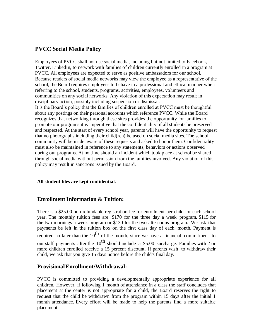## **PVCC Social Media Policy**

Employees of PVCC shall not use social media, including but not limited to Facebook, Twitter, LinkedIn, to network with families of children currently enrolled in a program at PVCC. All employees are expected to serve as positive ambassadors for our school. Because readers of social media networks may view the employee as a representative of the school, the Board requires employees to behave in a professional and ethical manner when referring to the school, students, programs, activities, employees, volunteers and communities on any social networks. Any violation of this expectation may result in disciplinary action, possibly including suspension or dismissal. It is the Board's policy that the families of children enrolled at PVCC must be thoughtful about any postings on their personal accounts which reference PVCC. While the Board recognizes that networking through these sites provides the opportunity for families to promote our programs it is imperative that the confidentiality of all students be preserved and respected. At the start of every school year, parents will have the opportunity to request that no photographs including their child(ren) be used on social media sites. The school community will be made aware of these requests and asked to honor them. Confidentiality must also be maintained in reference to any statements, behaviors or actions observed during our programs. At no time should an incident which took place at school be shared through social media without permission from the families involved. Any violation of this policy may result in sanctions issued by the Board.

#### **All student files are kept confidential.**

### **Enrollment Information & Tuition:**

There is a \$25.00 non-refundable registration fee for enrollment per child for each school year. The monthly tuition fees are: \$170 for the three day a week program, \$115 for the two mornings a week program or \$130 for the two afternoons program. We ask that payments be left in the tuition box on the first class day of each month. Payment is required no later than the  $10^{th}$  of the month, since we have a financial commitment to our staff, payments after the  $10^{th}$  should include a \$5.00 surcharge. Families with 2 or more children enrolled receive a 15 percent discount. If parents wish to withdraw their child, we ask that you give 15 days notice before the child's final day.

### **ProvisionalEnrollment/Withdrawal:**

PVCC is committed to providing a developmentally appropriate experience for all children. However, if following 1 month of attendance in a class the staff concludes that placement at the center is not appropriate for a child, the Board reserves the right to request that the child be withdrawn from the program within 15 days after the initial 1 month attendance. Every effort will be made to help the parents find a more suitable placement.